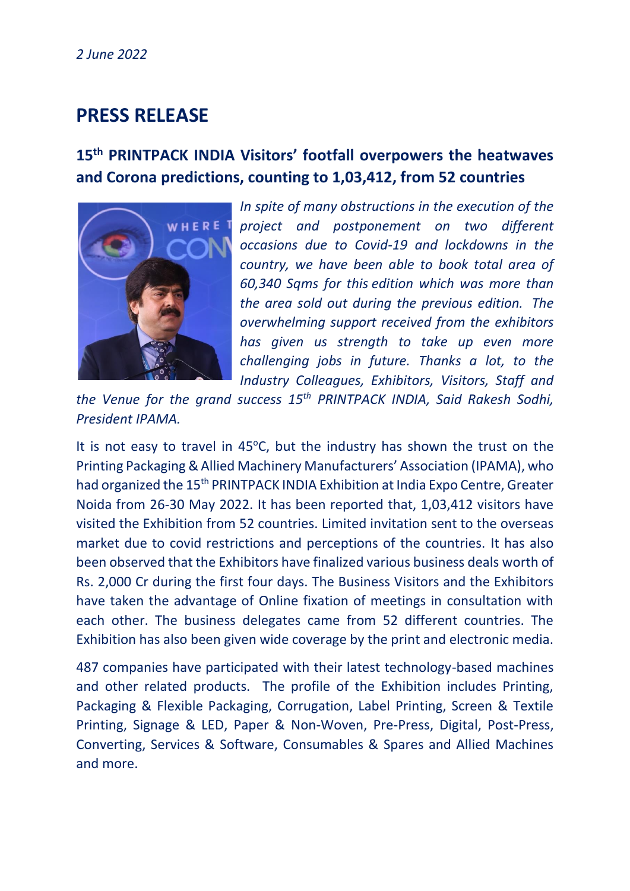## **PRESS RELEASE**

## **15th PRINTPACK INDIA Visitors' footfall overpowers the heatwaves and Corona predictions, counting to 1,03,412, from 52 countries**



*In spite of many obstructions in the execution of the project and postponement on two different occasions due to Covid-19 and lockdowns in the country, we have been able to book total area of 60,340 Sqms for this edition which was more than the area sold out during the previous edition. The overwhelming support received from the exhibitors has given us strength to take up even more challenging jobs in future. Thanks a lot, to the Industry Colleagues, Exhibitors, Visitors, Staff and* 

*the Venue for the grand success 15th PRINTPACK INDIA, Said Rakesh Sodhi, President IPAMA.*

It is not easy to travel in  $45^{\circ}$ C, but the industry has shown the trust on the Printing Packaging & Allied Machinery Manufacturers' Association (IPAMA), who had organized the 15<sup>th</sup> PRINTPACK INDIA Exhibition at India Expo Centre, Greater Noida from 26-30 May 2022. It has been reported that, 1,03,412 visitors have visited the Exhibition from 52 countries. Limited invitation sent to the overseas market due to covid restrictions and perceptions of the countries. It has also been observed that the Exhibitors have finalized various business deals worth of Rs. 2,000 Cr during the first four days. The Business Visitors and the Exhibitors have taken the advantage of Online fixation of meetings in consultation with each other. The business delegates came from 52 different countries. The Exhibition has also been given wide coverage by the print and electronic media.

487 companies have participated with their latest technology-based machines and other related products. The profile of the Exhibition includes Printing, Packaging & Flexible Packaging, Corrugation, Label Printing, Screen & Textile Printing, Signage & LED, Paper & Non-Woven, Pre-Press, Digital, Post-Press, Converting, Services & Software, Consumables & Spares and Allied Machines and more.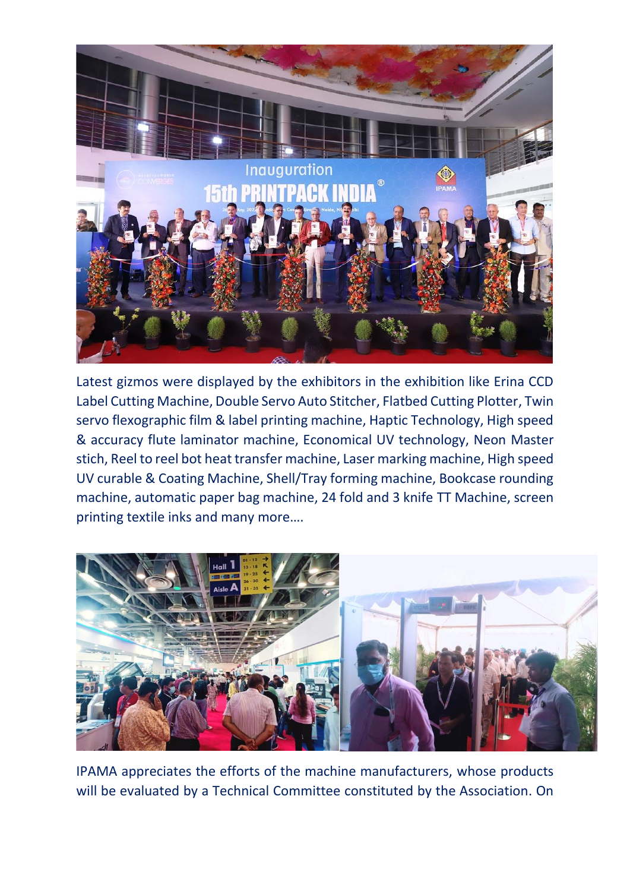

Latest gizmos were displayed by the exhibitors in the exhibition like Erina CCD Label Cutting Machine, Double Servo Auto Stitcher, Flatbed Cutting Plotter, Twin servo flexographic film & label printing machine, Haptic Technology, High speed & accuracy flute laminator machine, Economical UV technology, Neon Master stich, Reel to reel bot heat transfer machine, Laser marking machine, High speed UV curable & Coating Machine, Shell/Tray forming machine, Bookcase rounding machine, automatic paper bag machine, 24 fold and 3 knife TT Machine, screen printing textile inks and many more….



IPAMA appreciates the efforts of the machine manufacturers, whose products will be evaluated by a Technical Committee constituted by the Association. On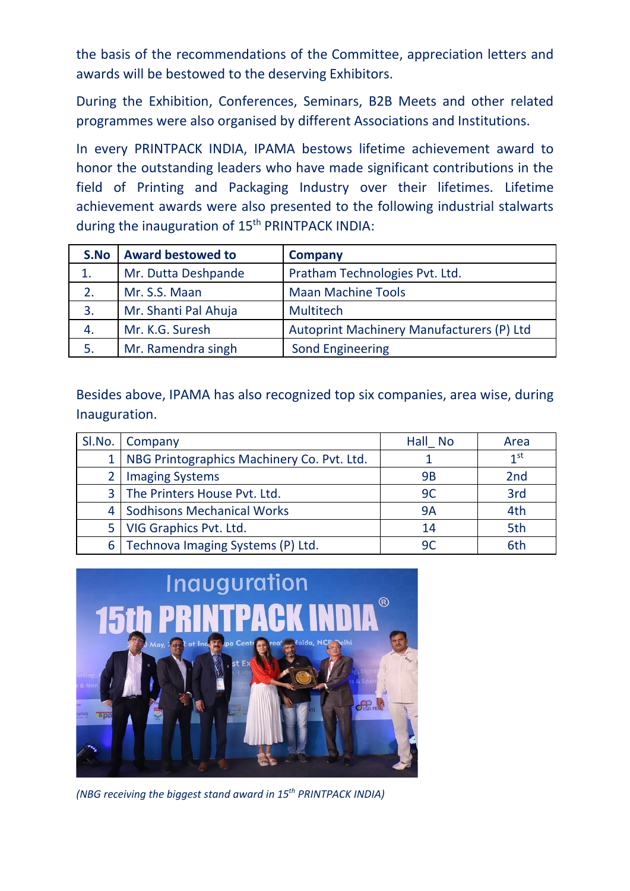the basis of the recommendations of the Committee, appreciation letters and awards will be bestowed to the deserving Exhibitors.

During the Exhibition, Conferences, Seminars, B2B Meets and other related programmes were also organised by different Associations and Institutions.

In every PRINTPACK INDIA, IPAMA bestows lifetime achievement award to honor the outstanding leaders who have made significant contributions in the field of Printing and Packaging Industry over their lifetimes. Lifetime achievement awards were also presented to the following industrial stalwarts during the inauguration of 15<sup>th</sup> PRINTPACK INDIA:

| S.No | <b>Award bestowed to</b> | Company                                   |  |
|------|--------------------------|-------------------------------------------|--|
| 1.   | Mr. Dutta Deshpande      | Pratham Technologies Pvt. Ltd.            |  |
| 2.   | Mr. S.S. Maan            | <b>Maan Machine Tools</b>                 |  |
| 3.   | Mr. Shanti Pal Ahuja     | <b>Multitech</b>                          |  |
| 4.   | Mr. K.G. Suresh          | Autoprint Machinery Manufacturers (P) Ltd |  |
| 5.   | Mr. Ramendra singh       | <b>Sond Engineering</b>                   |  |

Besides above, IPAMA has also recognized top six companies, area wise, during Inauguration.

| SI.No. | <b>Company</b>                                 | Hall No | Area            |
|--------|------------------------------------------------|---------|-----------------|
|        | 1   NBG Printographics Machinery Co. Pvt. Ltd. |         | 1 <sup>st</sup> |
|        | <b>Imaging Systems</b>                         | 9B      | 2 <sub>nd</sub> |
|        | 3 The Printers House Pvt. Ltd.                 | 9C      | 3rd             |
|        | 4   Sodhisons Mechanical Works                 | 9A      | 4th             |
|        | 5   VIG Graphics Pvt. Ltd.                     | 14      | 5th             |
|        | 6   Technova Imaging Systems (P) Ltd.          | 90      | 6th             |



*(NBG receiving the biggest stand award in 15th PRINTPACK INDIA)*